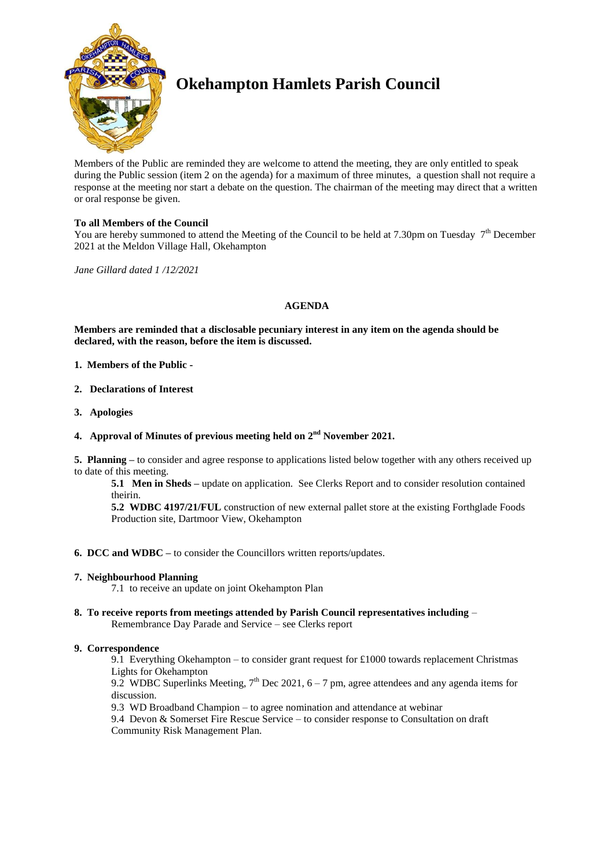

# **Okehampton Hamlets Parish Council**

Members of the Public are reminded they are welcome to attend the meeting, they are only entitled to speak during the Public session (item 2 on the agenda) for a maximum of three minutes, a question shall not require a response at the meeting nor start a debate on the question. The chairman of the meeting may direct that a written or oral response be given.

## **To all Members of the Council**

You are hereby summoned to attend the Meeting of the Council to be held at 7.30pm on Tuesday  $7<sup>th</sup>$  December 2021 at the Meldon Village Hall, Okehampton

*Jane Gillard dated 1 /12/2021*

#### **AGENDA**

**Members are reminded that a disclosable pecuniary interest in any item on the agenda should be declared, with the reason, before the item is discussed.** 

- **1. Members of the Public -**
- **2. Declarations of Interest**
- **3. Apologies**

## **4. Approval of Minutes of previous meeting held on 2 nd November 2021.**

**5. Planning –** to consider and agree response to applications listed below together with any others received up to date of this meeting.

**5.1 Men in Sheds –** update on application. See Clerks Report and to consider resolution contained theirin.

**5.2 WDBC 4197/21/FUL** construction of new external pallet store at the existing Forthglade Foods Production site, Dartmoor View, Okehampton

### **6. DCC and WDBC –** to consider the Councillors written reports/updates.

#### **7. Neighbourhood Planning**

7.1 to receive an update on joint Okehampton Plan

**8. To receive reports from meetings attended by Parish Council representatives including** – Remembrance Day Parade and Service – see Clerks report

#### **9. Correspondence**

9.1 Everything Okehampton – to consider grant request for £1000 towards replacement Christmas Lights for Okehampton

9.2 WDBC Superlinks Meeting,  $7<sup>th</sup>$  Dec 2021, 6 – 7 pm, agree attendees and any agenda items for discussion.

9.3 WD Broadband Champion – to agree nomination and attendance at webinar

9.4 Devon & Somerset Fire Rescue Service – to consider response to Consultation on draft Community Risk Management Plan.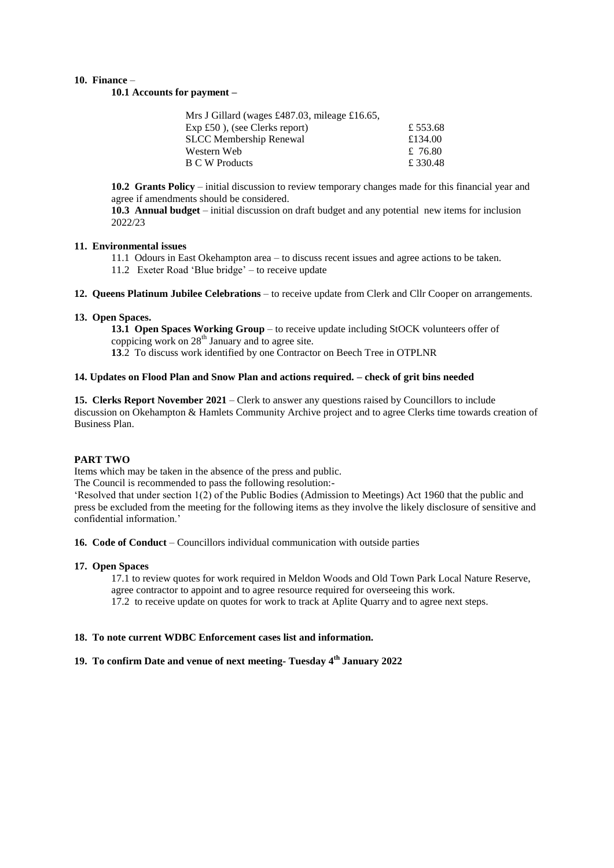#### **10. Finance** –

**10.1 Accounts for payment –**

| Mrs J Gillard (wages £487.03, mileage £16.65, |         |
|-----------------------------------------------|---------|
| $Exp £50$ ), (see Clerks report)              | £553.68 |
| <b>SLCC</b> Membership Renewal                | £134.00 |
| Western Web                                   | £ 76.80 |
| <b>B C W Products</b>                         | £330.48 |

**10.2 Grants Policy** – initial discussion to review temporary changes made for this financial year and agree if amendments should be considered.

**10.3 Annual budget** – initial discussion on draft budget and any potential new items for inclusion 2022/23

#### **11. Environmental issues**

11.1 Odours in East Okehampton area – to discuss recent issues and agree actions to be taken.

11.2 Exeter Road 'Blue bridge' – to receive update

**12. Queens Platinum Jubilee Celebrations** – to receive update from Clerk and Cllr Cooper on arrangements.

#### **13. Open Spaces.**

**13.1 Open Spaces Working Group** – to receive update including StOCK volunteers offer of coppicing work on  $28<sup>th</sup>$  January and to agree site.

**13**.2 To discuss work identified by one Contractor on Beech Tree in OTPLNR

## **14. Updates on Flood Plan and Snow Plan and actions required. – check of grit bins needed**

**15. Clerks Report November 2021** – Clerk to answer any questions raised by Councillors to include discussion on Okehampton & Hamlets Community Archive project and to agree Clerks time towards creation of Business Plan.

#### **PART TWO**

Items which may be taken in the absence of the press and public.

The Council is recommended to pass the following resolution:-

'Resolved that under section 1(2) of the Public Bodies (Admission to Meetings) Act 1960 that the public and press be excluded from the meeting for the following items as they involve the likely disclosure of sensitive and confidential information.'

**16. Code of Conduct** – Councillors individual communication with outside parties

#### **17. Open Spaces**

17.1 to review quotes for work required in Meldon Woods and Old Town Park Local Nature Reserve, agree contractor to appoint and to agree resource required for overseeing this work.

17.2 to receive update on quotes for work to track at Aplite Quarry and to agree next steps.

## **18. To note current WDBC Enforcement cases list and information.**

## **19. To confirm Date and venue of next meeting- Tuesday 4th January 2022**